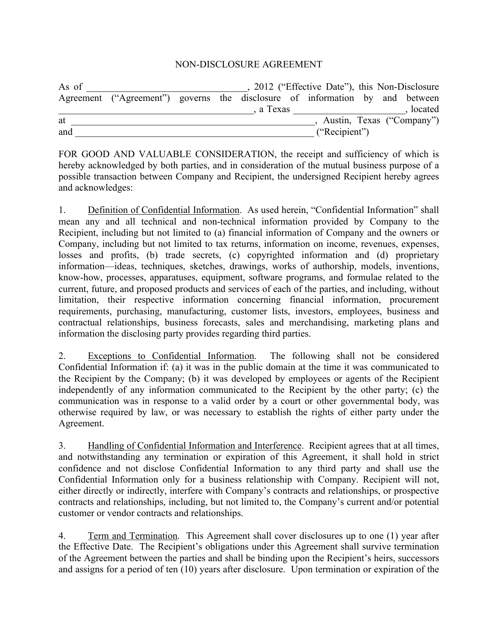## NON-DISCLOSURE AGREEMENT

| As of |                                                                              |  |           | 2012 ("Effective Date"), this Non-Disclosure |  |                           |
|-------|------------------------------------------------------------------------------|--|-----------|----------------------------------------------|--|---------------------------|
|       | Agreement ("Agreement") governs the disclosure of information by and between |  |           |                                              |  |                           |
|       |                                                                              |  | , a Texas |                                              |  | , located                 |
| at    |                                                                              |  |           |                                              |  | Austin, Texas ("Company") |
| and   |                                                                              |  |           | ("Recipient")                                |  |                           |

FOR GOOD AND VALUABLE CONSIDERATION, the receipt and sufficiency of which is hereby acknowledged by both parties, and in consideration of the mutual business purpose of a possible transaction between Company and Recipient, the undersigned Recipient hereby agrees and acknowledges:

1. Definition of Confidential Information. As used herein, "Confidential Information" shall mean any and all technical and non-technical information provided by Company to the Recipient, including but not limited to (a) financial information of Company and the owners or Company, including but not limited to tax returns, information on income, revenues, expenses, losses and profits, (b) trade secrets, (c) copyrighted information and (d) proprietary information—ideas, techniques, sketches, drawings, works of authorship, models, inventions, know-how, processes, apparatuses, equipment, software programs, and formulae related to the current, future, and proposed products and services of each of the parties, and including, without limitation, their respective information concerning financial information, procurement requirements, purchasing, manufacturing, customer lists, investors, employees, business and contractual relationships, business forecasts, sales and merchandising, marketing plans and information the disclosing party provides regarding third parties.

2. Exceptions to Confidential Information. The following shall not be considered Confidential Information if: (a) it was in the public domain at the time it was communicated to the Recipient by the Company; (b) it was developed by employees or agents of the Recipient independently of any information communicated to the Recipient by the other party; (c) the communication was in response to a valid order by a court or other governmental body, was otherwise required by law, or was necessary to establish the rights of either party under the Agreement.

3. Handling of Confidential Information and Interference. Recipient agrees that at all times, and notwithstanding any termination or expiration of this Agreement, it shall hold in strict confidence and not disclose Confidential Information to any third party and shall use the Confidential Information only for a business relationship with Company. Recipient will not, either directly or indirectly, interfere with Company's contracts and relationships, or prospective contracts and relationships, including, but not limited to, the Company's current and/or potential customer or vendor contracts and relationships.

4. Term and Termination. This Agreement shall cover disclosures up to one (1) year after the Effective Date. The Recipient's obligations under this Agreement shall survive termination of the Agreement between the parties and shall be binding upon the Recipient's heirs, successors and assigns for a period of ten (10) years after disclosure. Upon termination or expiration of the